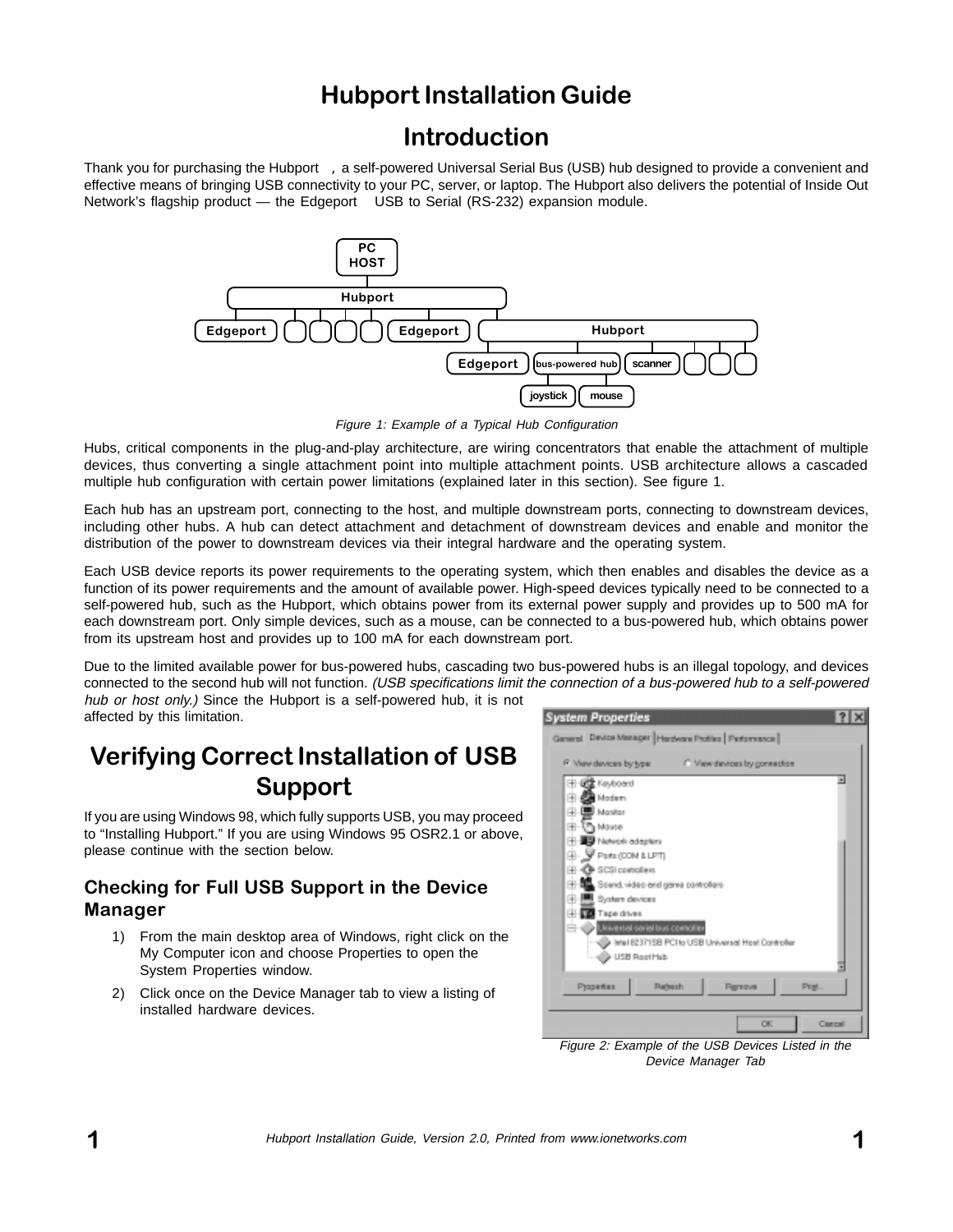## Hubport Installation Guide

### Introduction

Thank you for purchasing the Hubport™, a self-powered Universal Serial Bus (USB) hub designed to provide a convenient and effective means of bringing USB connectivity to your PC, server, or laptop. The Hubport also delivers the potential of Inside Out Network's flagship product — the Edgeport<sup>™</sup> USB to Serial (RS-232) expansion module.



Figure 1: Example of a Typical Hub Configuration

Hubs, critical components in the plug-and-play architecture, are wiring concentrators that enable the attachment of multiple devices, thus converting a single attachment point into multiple attachment points. USB architecture allows a cascaded multiple hub configuration with certain power limitations (explained later in this section). See figure 1.

Each hub has an upstream port, connecting to the host, and multiple downstream ports, connecting to downstream devices, including other hubs. A hub can detect attachment and detachment of downstream devices and enable and monitor the distribution of the power to downstream devices via their integral hardware and the operating system.

Each USB device reports its power requirements to the operating system, which then enables and disables the device as a function of its power requirements and the amount of available power. High-speed devices typically need to be connected to a self-powered hub, such as the Hubport, which obtains power from its external power supply and provides up to 500 mA for each downstream port. Only simple devices, such as a mouse, can be connected to a bus-powered hub, which obtains power from its upstream host and provides up to 100 mA for each downstream port.

Due to the limited available power for bus-powered hubs, cascading two bus-powered hubs is an illegal topology, and devices connected to the second hub will not function. (USB specifications limit the connection of a bus-powered hub to a self-powered hub or host only.) Since the Hubport is a self-powered hub, it is not affected by this limitation.

# Verifying Correct Installation of USB Support

If you are using Windows 98, which fully supports USB, you may proceed to "Installing Hubport." If you are using Windows 95 OSR2.1 or above, please continue with the section below.

### Checking for Full USB Support in the Device Manager

- 1) From the main desktop area of Windows, right click on the My Computer icon and choose Properties to open the System Properties window.
- 2) Click once on the Device Manager tab to view a listing of installed hardware devices.



Figure 2: Example of the USB Devices Listed in the Device Manager Tab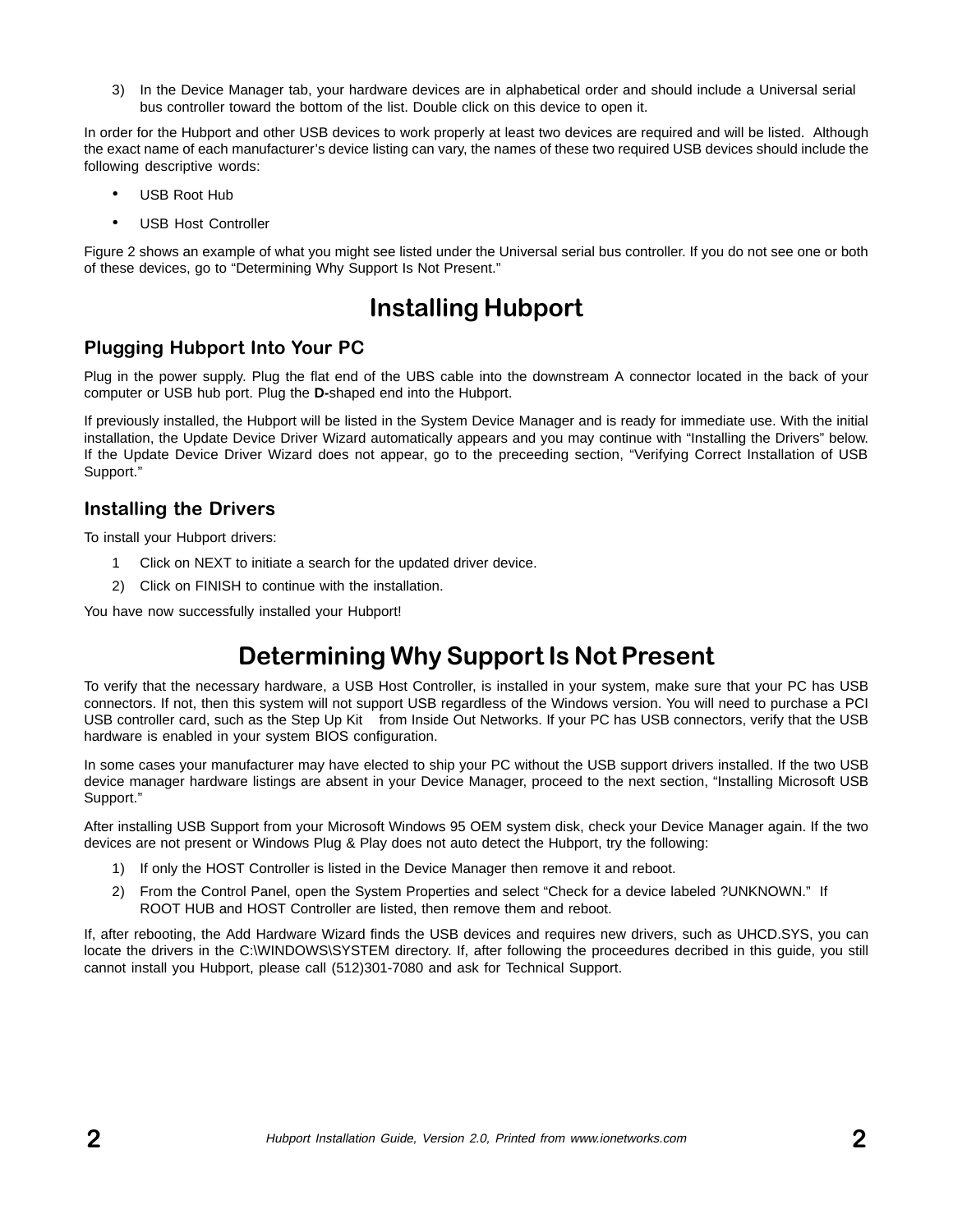3) In the Device Manager tab, your hardware devices are in alphabetical order and should include a Universal serial bus controller toward the bottom of the list. Double click on this device to open it.

In order for the Hubport and other USB devices to work properly at least two devices are required and will be listed. Although the exact name of each manufacturer's device listing can vary, the names of these two required USB devices should include the following descriptive words:

- USB Root Hub
- USB Host Controller

Figure 2 shows an example of what you might see listed under the Universal serial bus controller. If you do not see one or both of these devices, go to "Determining Why Support Is Not Present."

### Installing Hubport

### Plugging Hubport Into Your PC

Plug in the power supply. Plug the flat end of the UBS cable into the downstream A connector located in the back of your computer or USB hub port. Plug the **D-**shaped end into the Hubport.

If previously installed, the Hubport will be listed in the System Device Manager and is ready for immediate use. With the initial installation, the Update Device Driver Wizard automatically appears and you may continue with "Installing the Drivers" below. If the Update Device Driver Wizard does not appear, go to the preceeding section, "Verifying Correct Installation of USB Support."

### Installing the Drivers

To install your Hubport drivers:

- 1 Click on NEXT to initiate a search for the updated driver device.
- 2) Click on FINISH to continue with the installation.

You have now successfully installed your Hubport!

# Determining Why Support Is Not Present

To verify that the necessary hardware, a USB Host Controller, is installed in your system, make sure that your PC has USB connectors. If not, then this system will not support USB regardless of the Windows version. You will need to purchase a PCI USB controller card, such as the Step Up Kit<sup>™</sup> from Inside Out Networks. If your PC has USB connectors, verify that the USB hardware is enabled in your system BIOS configuration.

In some cases your manufacturer may have elected to ship your PC without the USB support drivers installed. If the two USB device manager hardware listings are absent in your Device Manager, proceed to the next section, "Installing Microsoft USB Support."

After installing USB Support from your Microsoft Windows 95 OEM system disk, check your Device Manager again. If the two devices are not present or Windows Plug & Play does not auto detect the Hubport, try the following:

- 1) If only the HOST Controller is listed in the Device Manager then remove it and reboot.
- 2) From the Control Panel, open the System Properties and select "Check for a device labeled ?UNKNOWN." If ROOT HUB and HOST Controller are listed, then remove them and reboot.

If, after rebooting, the Add Hardware Wizard finds the USB devices and requires new drivers, such as UHCD.SYS, you can locate the drivers in the C:\WINDOWS\SYSTEM directory. If, after following the proceedures decribed in this guide, you still cannot install you Hubport, please call (512)301-7080 and ask for Technical Support.